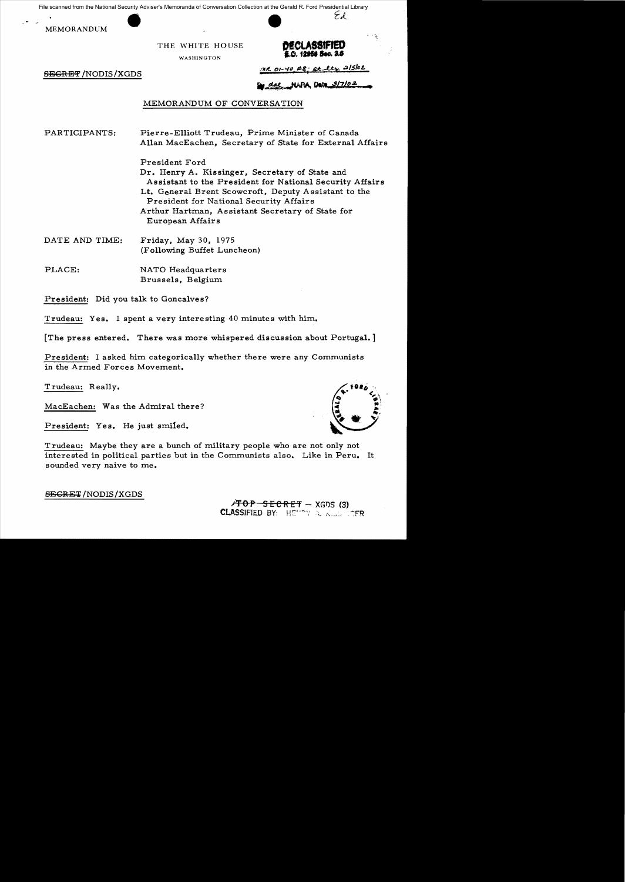File scanned from the National Security Adviser's Memoranda of Conversation Collection at the Gerald R. Ford Presidential Library

MEMORANDUM

THE WHITE HOUSE **DECLASS!** 

WASHINGTON

# E.O. 12958 Sec. 2.6

Ed

**EEGRET** /NODIS/XGDS MANUS / MR *oi-40* #8; at lty 2/5/02

dae NARA Date 3/7/02

## MEMORANDUM OF CONVERSATION

PARTICIPANTS: Pierre-Elliott Trudeau, Prime Minister of Canada Allan MacEachen, Secretary of State for External Affairs

> President Ford Dr. Henry A. Kissinger, Secretary of State and Assistant to the President for National Security Affairs Lt. General Brent Scowcroft, Deputy A ssistant to the President for National Security Affairs Arthur Hartman, Assistant Secretary of State for European Affairs

- DATE AND TIME: Friday, May 30, 1975 (Following Buffet Luncheon)
- PLACE: NATO Headquarters Brussels, Belgium.

President: Did you talk to Goncalves?

Trudeau: Yes. I spent a very interesting 40 minutes with him.

The press entered. There was more whispered discussion about Portugal.

President: I asked him categorically whether there were any Communists in the Armed Forces Movement.

Trudeau: Really.

MacEachen: Was the Admiral there?

President: Yes. He just smiled.

Trudeau: Maybe they are a bunch of military people who are not only not interested in political parties but in the Communists also. Like in Peru. It sounded very naive to me.

SECRET/NODIS/XGDS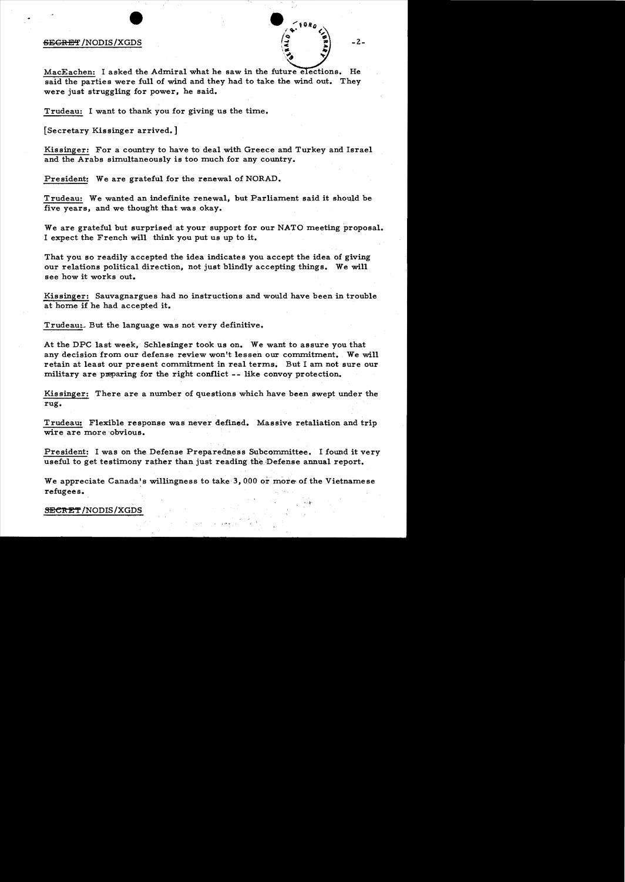### $SEGREF/NODIS/XGDS$   $\left[\begin{matrix} \frac{1}{2} & \frac{1}{2} \end{matrix}\right]$  -2-



MacEachen: I asked the Admiral what he saw in the future elections. He said the parties were full of wind and they had to take the wind out. They were just struggling for power, he said.

Trudeau: I want to thank you for giving us the time.

[Secretary Kissinger arrived.]

Kissinger: For a country to have to deal.with Greece and Turkey and Israel and the Arabs simultaneously is too much for any country.

President: We are grateful for the renewal of NORAD.

Trudeau: We wanted an indefinite renewal, but Parliament said it should be five years, and we thought that was okay.

We are grateful but surprised at your support for our NATO meeting proposal. I expect the French will think you put us up to it.

That you so readily accepted the idea indicate s you accept the idea of giving our relations political direction, not just blindly accepting things. We will see how it works out.

Kissinger: Sauvagnargues had no instructions and would have been in trouble at home if he had accepted it.

Trudeau<sub>L</sub> But the language was not very definitive.

At the DPC last week, Schlesinger took us on. We want to assure you that any decision from our defense review won't lessen our commitment. We will retain at least our present commitment in real terms. But I am not sure our military are preparing for the right conflict -- like convoy protection.

Kissinger: There are a number of questions which have been swept under the rug.

Trudeau: Flexible response was never defined. Massive retaliation and trip wire are more obvious.

President: I was on the Defense Preparedness Subcommittee. I found it very useful to get testimony rather than just reading the;Defense annual report.

We appreciate Canada's willingness to take 3, 000 or more of the Vietnamese refugees.

**SECRET/NODIS/XGDS**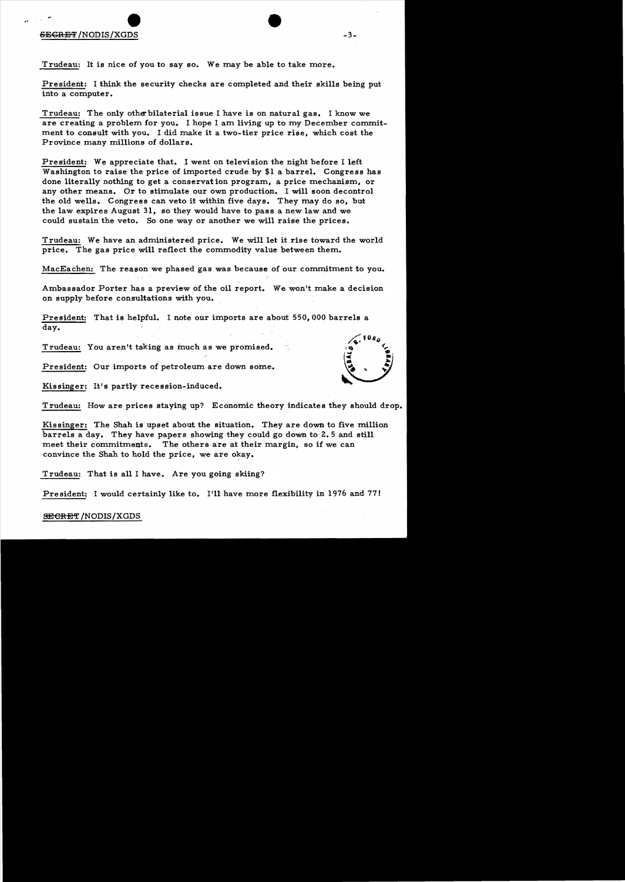# $\bullet$  $S$ EGRET /NODIS/XGDS  $-3-$

Trudeau: It is nice of you to say so. We may be able to take more.

President: I think the security checks are completed and their skills being put into a computer.

Trudeau: The only otherbilaterial issue I have is on natural gas. I know we are creating a problem for you. I hope I am living up to my December commitment to consult with you. I did make it a two-tier price rise, which cost the Province many millions of dollars.

President: We appreciate that. I went on television the night before I left Washington to raise the price of imported crude by \$1 a barrel. Congress has done literally nothing to get a conservat ion program, a price mechanism, or any other means. Or to stimulate our own production. I will soon decontrol the old wells. Congress can veto it within five days. They may do so, but the law expires August 31, so they would have to pass a new law and we could sustain the veto. So one way or another we will raise the prices.

Trudeau: We have an administered price. We will let it rise toward the world price. The gas price will reflect the commodity value between them.

MacEachen: The reason we phased gas was because of our commitment to you.

Ambassador Porter has a preview of the oil report. We won't make a decision on supply before consultations with you.

President: That is helpful. I note our imports are about 550,000 barrels a day.

Trudeau: You aren't taking as much as we promised.

President: Our imports of petroleum are down some.

Kissinger: It's partly recession-induced.

Trudeau: How are prices staying up? Economic theory indicates they should drop.

Kissinger: The Shah is upset about the situation. They are down to five million barrels a day. They have papers showing they could go down to 2.5 and still meet their commitments. The others are at their margin, so if we can convince the Shah to hold the price, we are okay.

Trudeau: That is all I have. Are you going skiing?

President: I would certainly like to. I'll have more flexibility in 1976 and 77!

#### **SECRET /NODIS / XGDS**

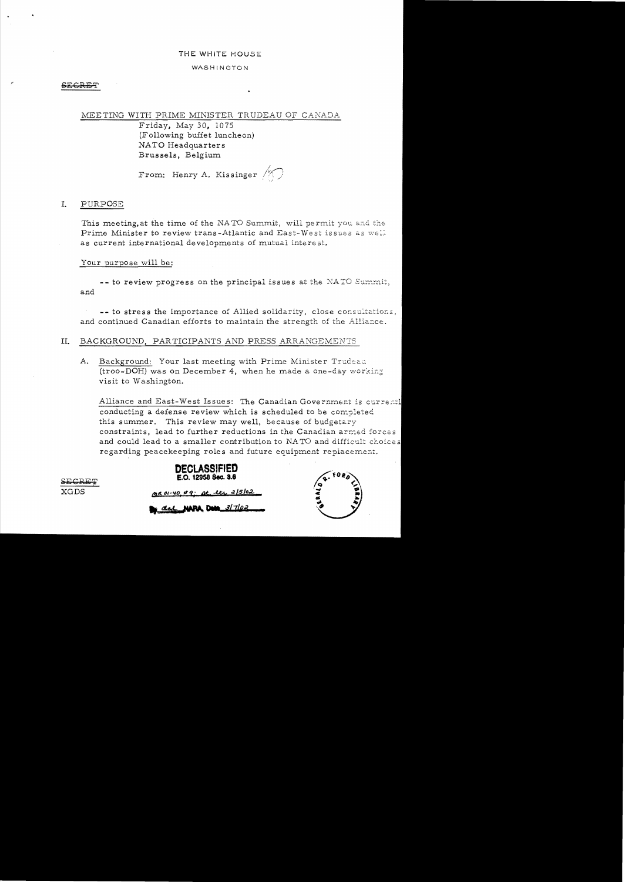#### THE WHITE HOUSE

#### WASHINGTON

#### MEETING WITH PRIME MINISTER TRUDEAU OF CANADA

Friday, May 30, 1075 (Following buffet luncheon) NATO Headquarters Brussels, Belgium

From: Henry A. Kissinger  $\bigwedge$ 

#### I. PURPOSE

This meeting, at the time of the NATO Summit, will permit you and the Prime Minister to review trans-Atlantic and East-West issues as well as current international developments of mutual interest.

#### Your purpose will be:

-- to review progress on the principal issues at the NATO Summit, and

-- to stress the importance of Allied solidarity, close consultations, and continued Canadian efforts to maintain the strength of the Alliance.

#### II. BACKGROUND, PARTICIPANTS AND PRESS ARRANGEMENTS

A. Background: Your last meeting with Prime Minister Trudeau (troo-DOH) was on December 4, when he made a one-day working visit to Washington.

Alliance and East-West Issues: The Canadian Government is currentl conducting a defense review which is scheduled to be completed this summer. This review may well, because of budgetary constraints, lead to further reductions in the Canadian armed forces and could lead to a smaller contribution to NATO and difficult choices regarding peacekeeping roles and future equipment replacement.



del **NAPA Dem** 3/7/02

at the 2/5/02



**XGDS**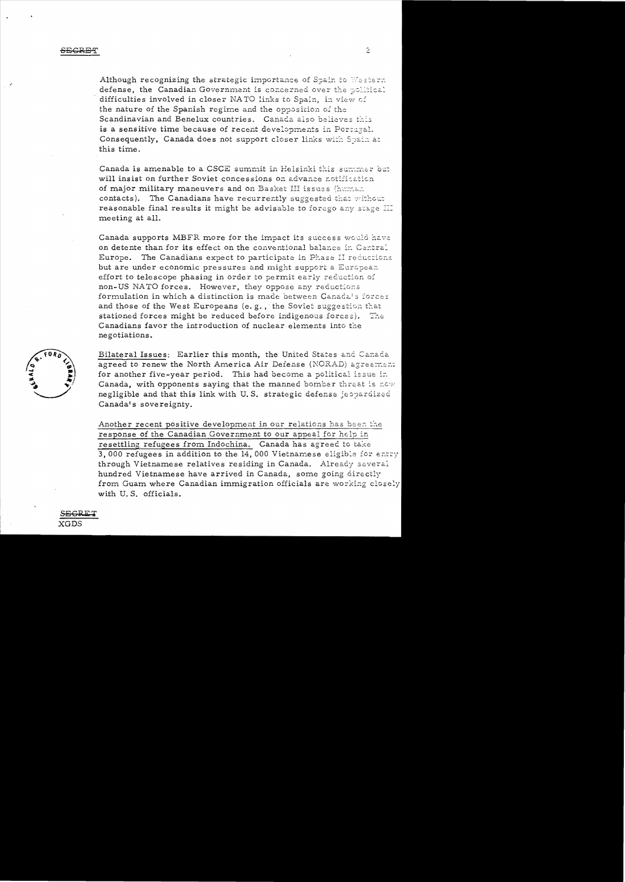Although recognizing the strategic importance of Spain to Western defense, the Canadian Government is concerned over the political difficulties involved in closer NATO links to Spain, in view of the nature of the Spanish regime and the opposition of the Scandinavian and Benelux countries. Canada also believes this is a sensitive time because of recent developments in Portugal. Consequently, Canada does not support closer links with Spain at this time.

Canada is amenable to a CSCE summit in Helsinki this summer but will insist on further Soviet concessions on advance notification of major military maneuvers and on Basket III issues (human contacts). The Canadians have recurrently suggested that without reasonable final results it might be advisable to forego any stage III meeting at all.

Canada supports MBFR more for the impact its success would have on detente than for its effect on the conventional balance in Central Europe. The Canadians expect to participate in Phase II reductions but are under economic pressures and might support a European effort to telescope phasing in order to permit early reduction of non-US NATO forces. However, they oppose any reductions formulation in which a distinction is made between Canada's forces and those of the West Europeans (e.g., the Soviet suggestion that stationed forces might be reduced before indigenous forces). The <sub>1</sub> Canadians favor the introduction of nuclear elements into the negotiations.



Bilateral Issues: Earlier this month, the United States and Canada agreed to renew the North America Air Defense (NORAD) agreement for another five-year period. This had become a political issue in Canada, with opponents saying that the manned bomber threat is now negligible and that this link with U.S. strategic defense jeopardized Canada's sovereignty.

Another recent positive development in our relations has been the response of the Canadian Government to our appeal for help in resettling refugees from Indochina. Canada has agreed to take 3,000 refugees in addition to the 14,000 Vietnamese eligible for entry through Vietnamese relatives residing in Canada. Already several hundred Vietnamese have arrived in Canada, some going directly from Guam where Canadian immigration officials are working closely with U.S. officials.

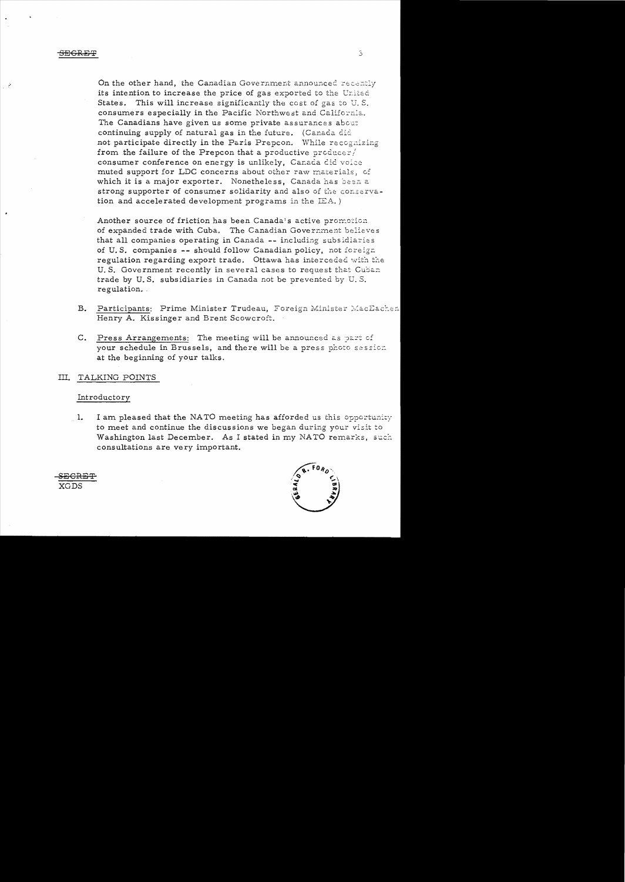not participate directly in the Paris Prepcon. While recognizing On the other hand, the Canadian Government announced recently its intention to increase the price of gas exported to the United States. This will increase significantly the cost of gas to  $U.S.$ consumers especially in the Pacific Northwest and California. The Canadians have given us some private assurances about continuing supply of natural gas in the future. (Canada did **irom the failure of the Prepcon that a productive producer/** consumer conference on energy is unlikely, Canada did voice muted support for LDC concerns about other raw materials, of which it is a major exporter. Nonetheless, Canada has been a strong supporter of consumer solidarity and also of the conservation and accelerated development programs in the  $IEA.$ )

Another source of friction has been Canada's active promotion of expanded trade with Cuba. The Canadian Government believes that all companies operating in Canada -- including subsidiaries of U.S. companies -- should follow Canadian policy, not foreign regulation regarding export trade. Ottawa has interceded with the U. S. Government recently in several cases to request that Cuban trade by U. S. subsidiaries in Canada not be prevented by U. S. regulation..

- B. Participants: Prime Minister Trudeau, Foreign Minister MacEachen Henry A. Kissinger and Brent Scowcroft.
- C. Press Arrangements: The meeting will be announced as part of your schedule in Brussels, and there will be a press photo session at the beginning of your talks.

### III. TALKING POINTS

#### Introductory

1. I am pleased that the NATO meeting has afforded us this opportunity to meet and continue the discussions we began during your visit to Washington last December. As I stated in my NATO remarks, such consultations are very important.



SECRET XGDS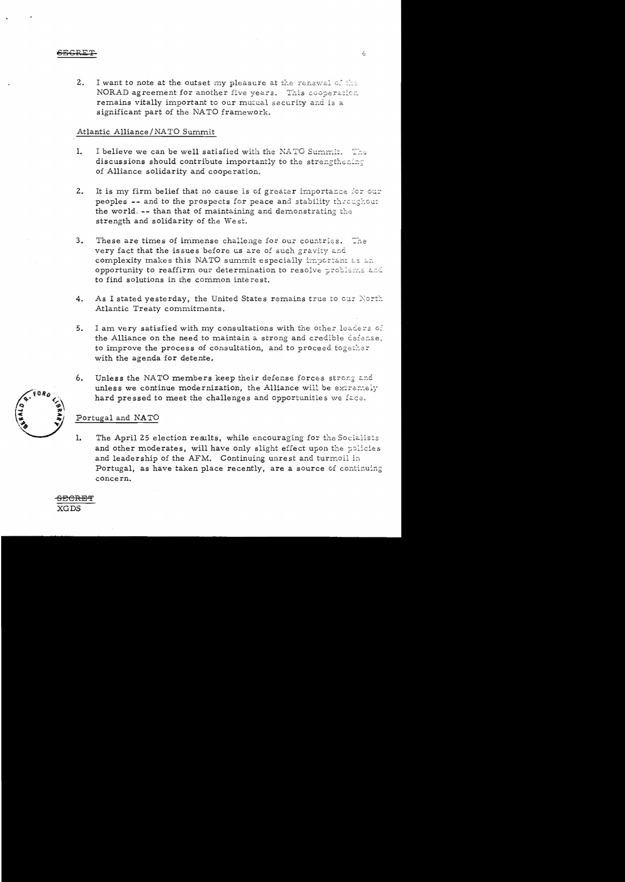$2.$ I want to note at the outset my pleasure at the renewal of the NORAD agreement for another five years. This cooperation remains vitally important to our mutual security and is a significant part of the NATO framework.

### Atlantic Alliance/NATO Summit

- $\mathbf{1}$ . I believe we can be well satisfied with the NATO Summit. The discussions should contribute importantly to the strengthening of Alliance solidarity and cooperation.
- $2.$ It is my firm belief that no cause is of greater importance for our peoples -- and to the prospects for peace and stability throughout the world. -- than that of maintaining and demonstrating the strength and solidarity of the West.
- $3.$ These are times of immense challenge for our countries. The very fact that the issues before us are of such gravity and complexity makes this NATO summit especially important as an opportunity to reaffirm our determination to resolve problems and to find solutions in the common interest.
- $4.$ As I stated yesterday, the United States remains true to our North Atlantic Treaty commitments.
- 5. I am very satisfied with my consultations with the other leaders of the Alliance on the need to maintain a strong and credible defense, to improve the process of consultation, and to proceed together with the agenda for detente.
- 6. Unless the NATO members keep their defense forces strong and unless we continue modernization, the Alliance will be extremely hard pressed to meet the challenges and opportunities we face.

### Portugal and NATO

1. The April 25 election results, while encouraging for the Socialists and other moderates, will have only slight effect upon the policies and leadership of the AFM. Continuing unrest and turmoil in Portugal, as have taken place recently, are a source of continuing concern.

 $60R$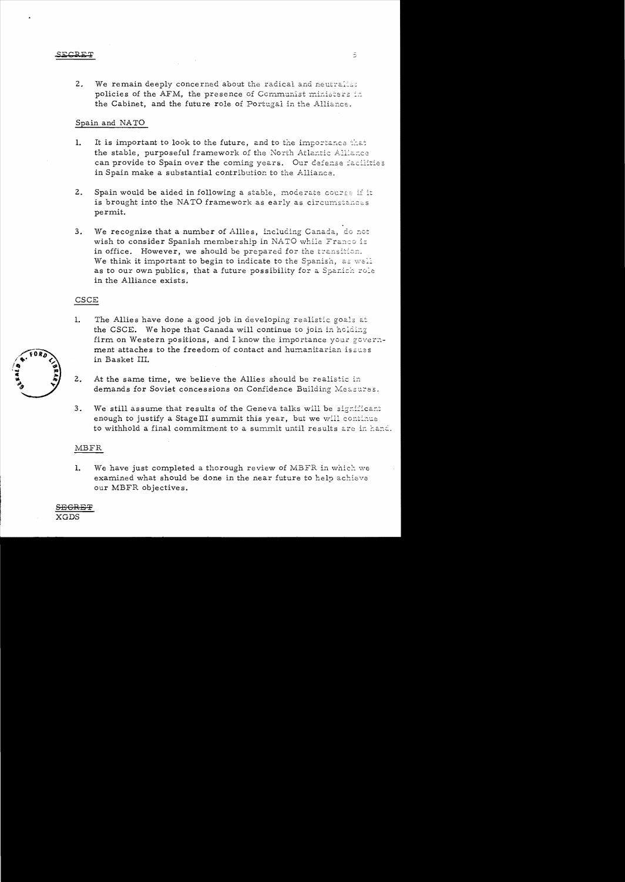#### <u>ECRET</u>

 $2<sub>1</sub>$ We remain deeply concerned about the radical and neutralist policies of the AFM, the presence of Communist ministers in the Cabinet, and the future role of Portugal in the Alliance.

## Spain and NATO

- $1.$ It is important to look to the future, and to the importance that the stable, purposeful framework of the North Atlantic Alliance can provide to Spain over the coming years. Our defense facilities in Spain make a substantial contribution to the Alliance.
- $2.$ Spain would be aided in following a stable, moderate course if it is brought into the NATO framework as early as circumstances permit.
- We recognize that a number of Allies, including Canada, do not  $3.$ wish to consider Spanish membership in NATO while Franco is in office. However, we should be prepared for the transition. We think it important to begin to indicate to the Spanish, as well as to our own publics, that a future possibility for a Spanish role in the Alliance exists.

### CSCE

- The Allies have done a good job in developing realistic goals at  $1.$ the CSCE. We hope that Canada will continue to join in holding firm on Western positions, and I know the importance your government attaches to the freedom of contact and humanitarian issues in Basket III.
- $2.$ At the same time, we believe the Allies should be realistic in demands for Soviet concessions on Confidence Building Measures.
- $3<sub>1</sub>$ We still assume that results of the Geneva talks will be significant enough to justify a Stage III summit this year, but we will continue to withhold a final commitment to a summit until results are in hand.

### MBFR

1. We have just completed a thorough review of MBFR in which we examined what should be done in the near future to help achieve our MBFR objectives.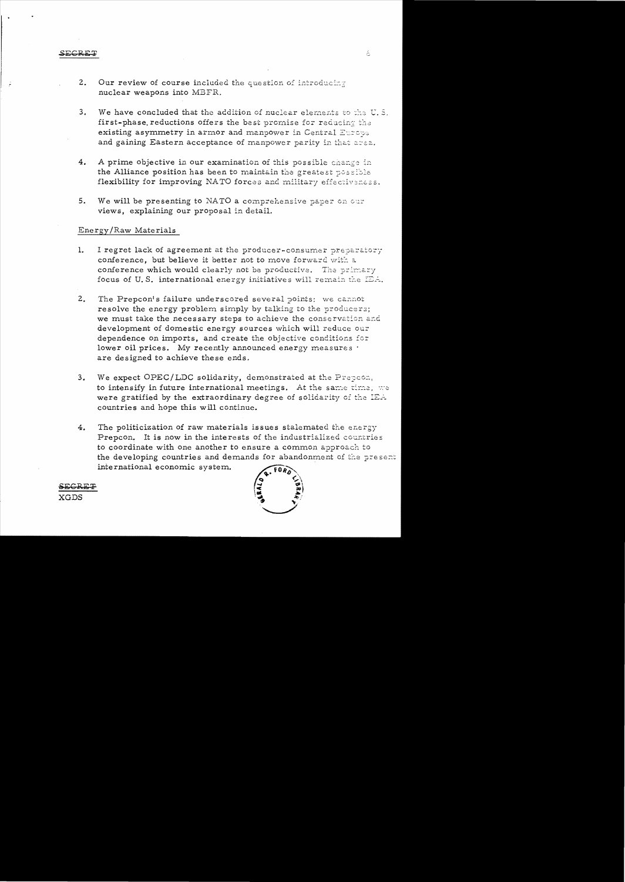- Our review of course included the question of introducing  $2.$ nuclear weapons into MBFR.
- $3.$ We have concluded that the addition of nuclear elements to the U.S. first-phase reductions offers the best promise for reducing the existing asymmetry in armor and manpower in Central Europe and gaining Eastern acceptance of manpower parity in that area.
- $4.$ A prime objective in our examination of this possible change in the Alliance position has been to maintain the greatest possible flexibility for improving NATO forces and military effectiveness.
- We will be presenting to NATO a comprehensive paper on our 5. views, explaining our proposal in detail.

#### Energy/Raw Materials

- $1.$ I regret lack of agreement at the producer-consumer preparatory conference, but believe it better not to move forward with a conference which would clearly not be productive. The primary focus of U.S. international energy initiatives will remain the  $E\mathbb{E}$ .
- The Prepcon's failure underscored several points: we cannot  $2<sub>1</sub>$ resolve the energy problem simply by talking to the producers; we must take the necessary steps to achieve the conservation and development of domestic energy sources which will reduce our dependence on imports, and create the objective conditions for lower oil prices. My recently announced energy measures . are designed to achieve these ends.
- We expect OPEC/LDC solidarity, demonstrated at the Prepcon,  $3.$ to intensify in future international meetings. At the same time, we were gratified by the extraordinary degree of solidarity of the IEA countries and hope this will continue.
- $4.$ The politicization of raw materials issues stalemated the energy Prepcon. It is now in the interests of the industrialized countries to coordinate with one another to ensure a common approach to the developing countries and demands for abandonment of the present international economic system.



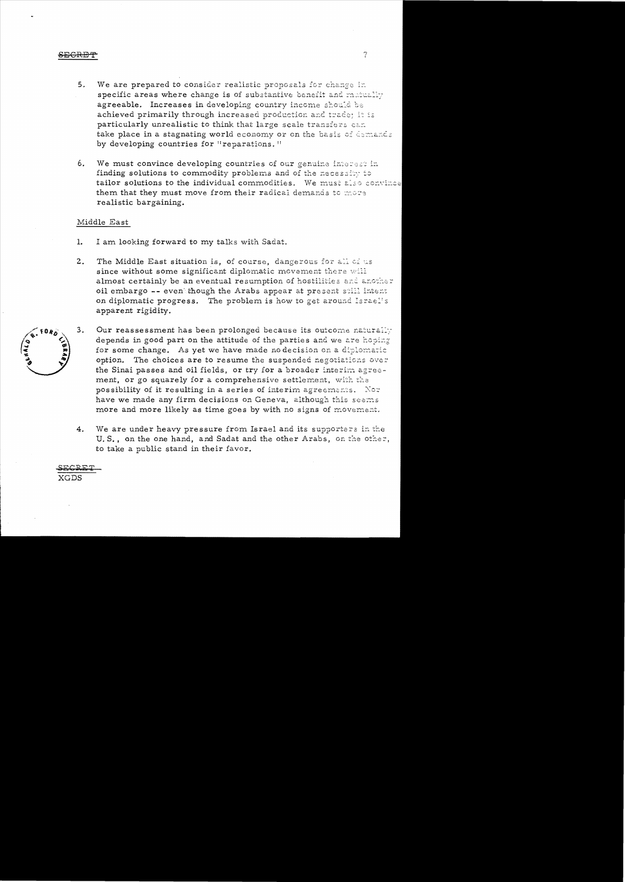#### **FCREF**

We are prepared to consider realistic proposals for change in  $5<sub>1</sub>$ specific areas where change is of substantive benefit and matually agreeable. Increases in developing country income should be achieved primarily through increased production and trade; it is particularly unrealistic to think that large scale transfers can take place in a stagnating world economy or on the basis of demands by developing countries for "reparations."

7

We must convince developing countries of our genuine interest in 6. finding solutions to commodity problems and of the necessity to tailor solutions to the individual commodities. We must also convince them that they must move from their radical demands to more realistic bargaining.

#### Middle East

- $\mathbf{1}$ . I am looking forward to my talks with Sadat.
- $2.$ The Middle East situation is, of course, dangerous for all of us since without some significant diplomatic movement there will almost certainly be an eventual resumption of hostilities and another oil embargo -- even though the Arabs appear at present still intent on diplomatic progress. The problem is how to get around Israel's apparent rigidity.
- Our reassessment has been prolonged because its outcome naturally 3. depends in good part on the attitude of the parties and we are hoping for some change. As yet we have made no decision on a diplomatic option. The choices are to resume the suspended negotiations over the Sinai passes and oil fields, or try for a broader interim agreement, or go squarely for a comprehensive settlement, with the possibility of it resulting in a series of interim agreements. Nor have we made any firm decisions on Geneva, although this seems more and more likely as time goes by with no signs of movement.
	- We are under heavy pressure from Israel and its supporters in the  $4.$ U.S., on the one hand, and Sadat and the other Arabs, on the other, to take a public stand in their favor.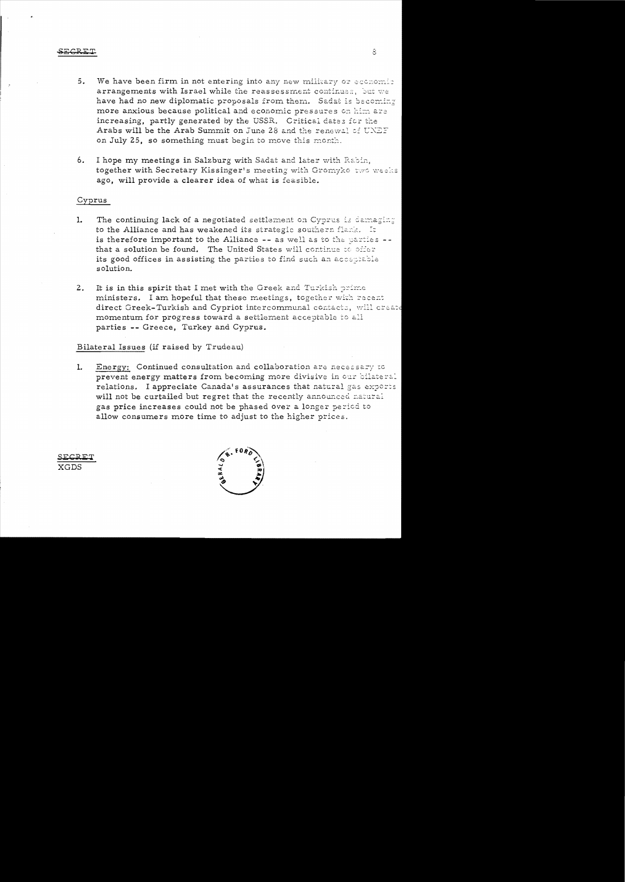- We have been firm in not entering into any new military or economic  $5.$ arrangements with Israel while the reassessment continues, but we have had no new diplomatic proposals from them. Sadat is becoming more anxious because political and economic pressures on him are increasing, partly generated by the USSR. Critical dates for the Arabs will be the Arab Summit on June 28 and the renewal of UNEF on July 25, so something must begin to move this month.
- 6. I hope my meetings in Salzburg with Sadat and later with Rabin, together with Secretary Kissinger's meeting with Gromyko two weeks ago, will provide a clearer idea of what is feasible.

#### Cyprus

- The continuing lack of a negotiated settlement on Cyprus is damaging 1. to the Alliance and has weakened its strategic southern flank. It is therefore important to the Alliance -- as well as to the parties -that a solution be found. The United States will continue to offer its good offices in assisting the parties to find such an acceptable solution.
- It is in this spirit that I met with the Greek and Turkish prime  $2.$ ministers. I am hopeful that these meetings, together with recent direct Greek-Turkish and Cypriot intercommunal contacts, will create momentum for progress toward a settlement acceptable to all parties -- Greece, Turkey and Cyprus.

#### Bilateral Issues (if raised by Trudeau)

Energy: Continued consultation and collaboration are necessary to 1. prevent energy matters from becoming more divisive in our bilateral relations. I appreciate Canada's assurances that natural gas exports will not be curtailed but regret that the recently announced natural gas price increases could not be phased over a longer period to allow consumers more time to adjust to the higher prices.

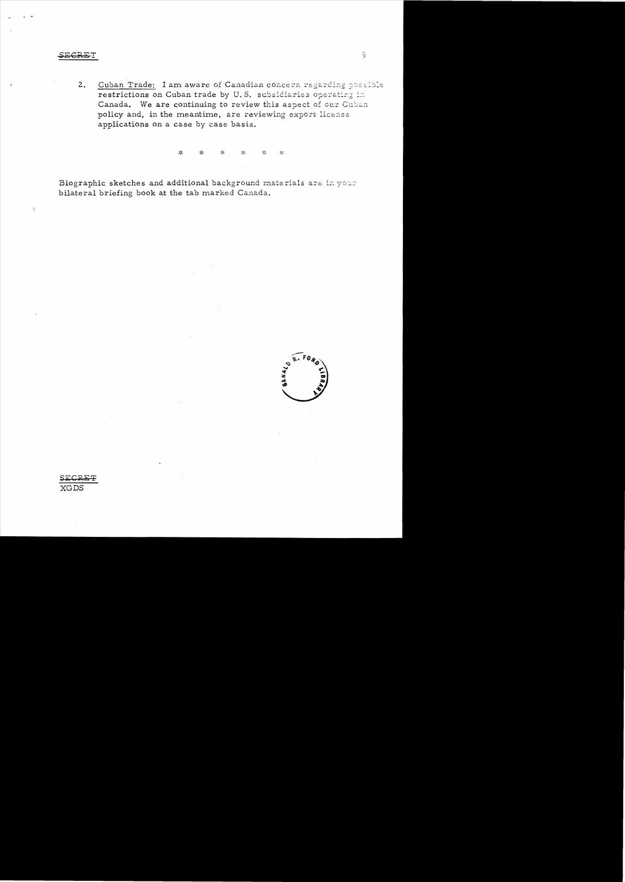#### **SECRET**

 $\big)$ 

Cuban Trade: I am aware of Canadian concern regarding possible  $2.$ restrictions on Cuban trade by U.S. subsidiaries operating in Canada. We are continuing to review this aspect of our Cuban policy and, in the meantime, are reviewing export license applications on a case by case basis.

> $>^{\prime}$  $\mathbf{S}^{\mathrm{L}}_{\mathrm{F}}$  $\mathcal{L}^{\rm{c}}$  $\mathbf{x}^{\prime}$  $\mathcal{L}_{\mathcal{C}}$  $\mathcal{C}^{\mathcal{C}}_{\mathcal{C}}$

Biographic sketches and additional background materials are in your bilateral briefing book at the tab marked Canada.

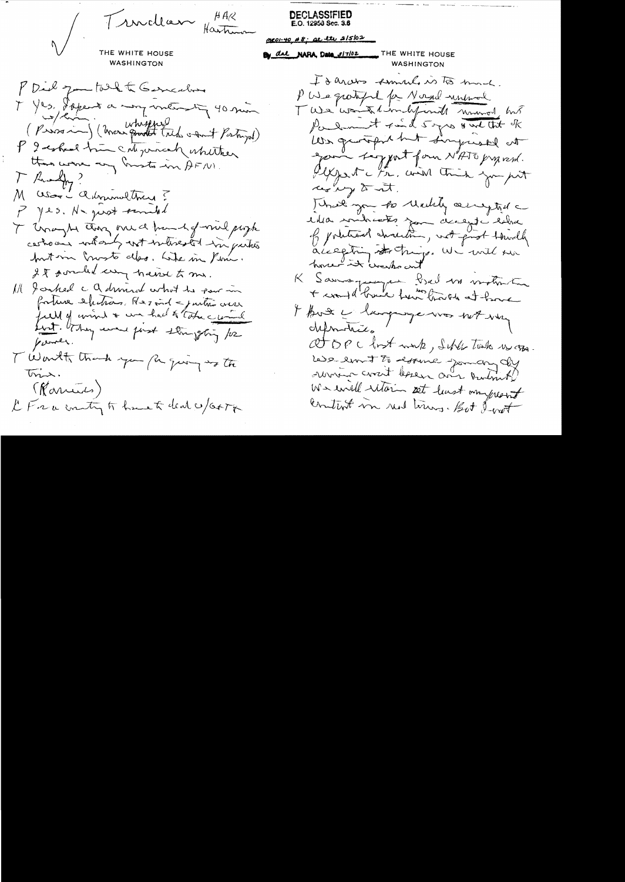Tructlan Hartimon

**DECLASSIFIED** E.O. 12953 Sec. 3.6

neo1-40 #8: at ete 2/5/02

THE WHITE HOUSE **WASHINGTON** 

MAL NARA, Data 3/7/02 THE WHITE HOUSE

WASHINGTON

PDid for took to Generalise I Yes, Ispent a man men in 40 min (Prossim) (Mars pont très omit Pertryd) P I ested trim categorisch whitter than were any mosts in AFNI.  $T$  Russelly? M assor i administrary? P yes. No just semiled I Unaght they med hund of mil progh certions whant with which it is puties but in Crosto des. Like in Peni. It sould un haid to me. Ill I canted a a drived what he saw in fortune electrons. Resound - justice cress bot. briting were forst strangering for pointer. T Worth thank you for giving to the  $\overline{m}$ . (Ranus) LFrancenty to have to deal w/ orto

I & arces semmed is to much. PUSe gratified for Norad unimal Twee work him befored wound but Parlament Find 5 yrs & we that of We guarged but Linguiste at good taggert form NATO proposed. leffert i tr. and this you put ces un d'at. Three you to reachly acrespted lika somitacates for decept eller of pointeend christian, not prot toundly accepting starting. We will sur home it washout K Samspart bien un motive I know whengurge was not want defendants. at opc lost work, suble lasts us one Les emit to essure journal running crosst lessen and Durant We will utain set lust anyworst Content in red times. But I wat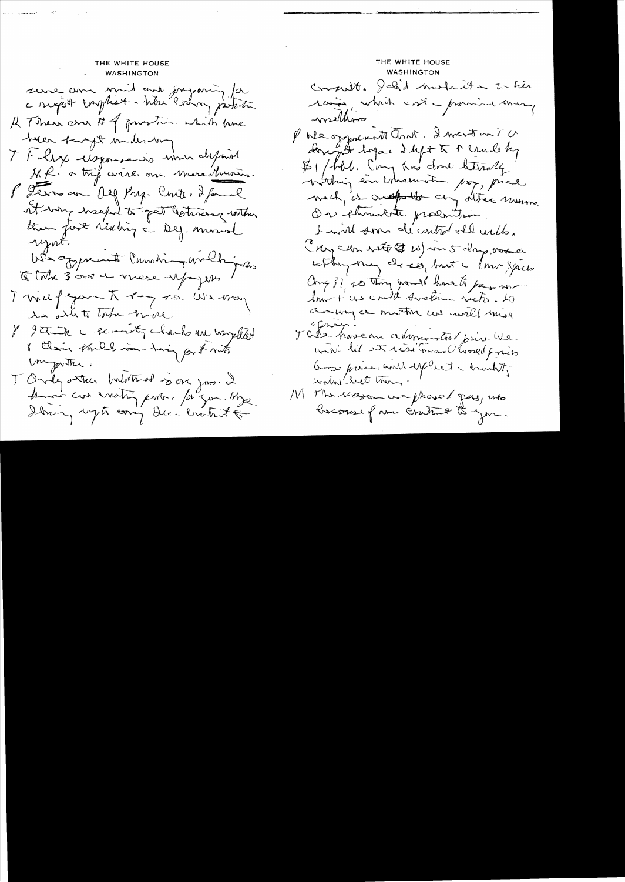THE WHITE HOUSE **WASHINGTON** sure anne mil and forganiz for A There are # of prestime which have toler farget midlestory T Flyx usponsaris min different MR. a très avires on more Murin. P Terror an Olf Pry. Conter I formal it wany weekend to get testimony within than just réalition à Deg. monde Elink 3000 en mese upoper. Twill grant by to Us may is ontito low trive 8 State c temmety chacks un way that I than the I was him fort mito mywith. TOrdy other Indotted soon jose 2 Amoir con vachy porter. / a gon. Hype Ibrary upto early the brokents

THE WHITE HOUSE **WASHINGTON** Consult. Jeb'd motoret a zu tier rain, which cost - promise uning mellino. PUR oppoRent Ones. I went on TU Howard before I left & P Crude by \$1/bbl. (my his done thereally Within in conservation pay, piece mach, is oneforthe any other minimo On florenta prodution. I will som de centre vill with. (Ny CHn Noto & W) m 5 day over sthing may de so, but a low you Ang 31, 20 thing would know to pay work a my or mother and will mise i Cenago J Cets have an administrat prince We with lit in read Toward Evangel finis Goss price and explicit a modity worked let them. M The Magameter phased gay, who baconse para control to you.